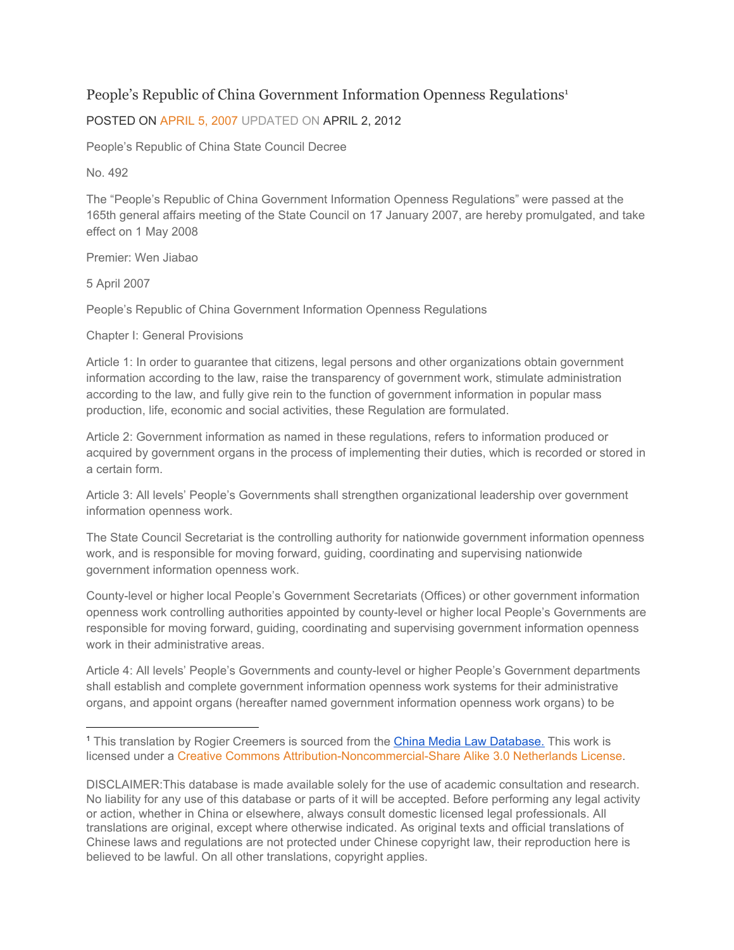## [People's Republic of China Government Information Openness Regulations](https://chinacopyrightandmedia.wordpress.com/2007/04/05/peoples-republic-of-china-government-information-openness-regulations/)<sup>1</sup>

## POSTED ON [APRIL](https://chinacopyrightandmedia.wordpress.com/2007/04/05/peoples-republic-of-china-government-information-openness-regulations/) 5, 2007 UPDATED ON [APRIL](https://chinacopyrightandmedia.wordpress.com/2007/04/05/peoples-republic-of-china-government-information-openness-regulations/) 2, 2012

People's Republic of China State Council Decree

No. 492

The "People's Republic of China Government Information Openness Regulations" were passed at the 165th general affairs meeting of the State Council on 17 January 2007, are hereby promulgated, and take effect on 1 May 2008

Premier: Wen Jiabao

5 April 2007

People's Republic of China Government Information Openness Regulations

Chapter I: General Provisions

Article 1: In order to guarantee that citizens, legal persons and other organizations obtain government information according to the law, raise the transparency of government work, stimulate administration according to the law, and fully give rein to the function of government information in popular mass production, life, economic and social activities, these Regulation are formulated.

Article 2: Government information as named in these regulations, refers to information produced or acquired by government organs in the process of implementing their duties, which is recorded or stored in a certain form.

Article 3: All levels' People's Governments shall strengthen organizational leadership over government information openness work.

The State Council Secretariat is the controlling authority for nationwide government information openness work, and is responsible for moving forward, guiding, coordinating and supervising nationwide government information openness work.

County-level or higher local People's Government Secretariats (Offices) or other government information openness work controlling authorities appointed by county-level or higher local People's Governments are responsible for moving forward, guiding, coordinating and supervising government information openness work in their administrative areas.

Article 4: All levels' People's Governments and county-level or higher People's Government departments shall establish and complete government information openness work systems for their administrative organs, and appoint organs (hereafter named government information openness work organs) to be

<sup>1</sup> This translation by Rogier Creemers is sourced from the China Media Law [Database.](https://chinacopyrightandmedia.wordpress.com/2007/04/05/peoples-republic-of-china-government-information-openness-regulations/) This work is licensed under a Creative Commons [Attribution-Noncommercial-Share](http://creativecommons.org/licenses/by-nc-sa/3.0/nl/) Alike 3.0 Netherlands License.

DISCLAIMER:This database is made available solely for the use of academic consultation and research. No liability for any use of this database or parts of it will be accepted. Before performing any legal activity or action, whether in China or elsewhere, always consult domestic licensed legal professionals. All translations are original, except where otherwise indicated. As original texts and official translations of Chinese laws and regulations are not protected under Chinese copyright law, their reproduction here is believed to be lawful. On all other translations, copyright applies.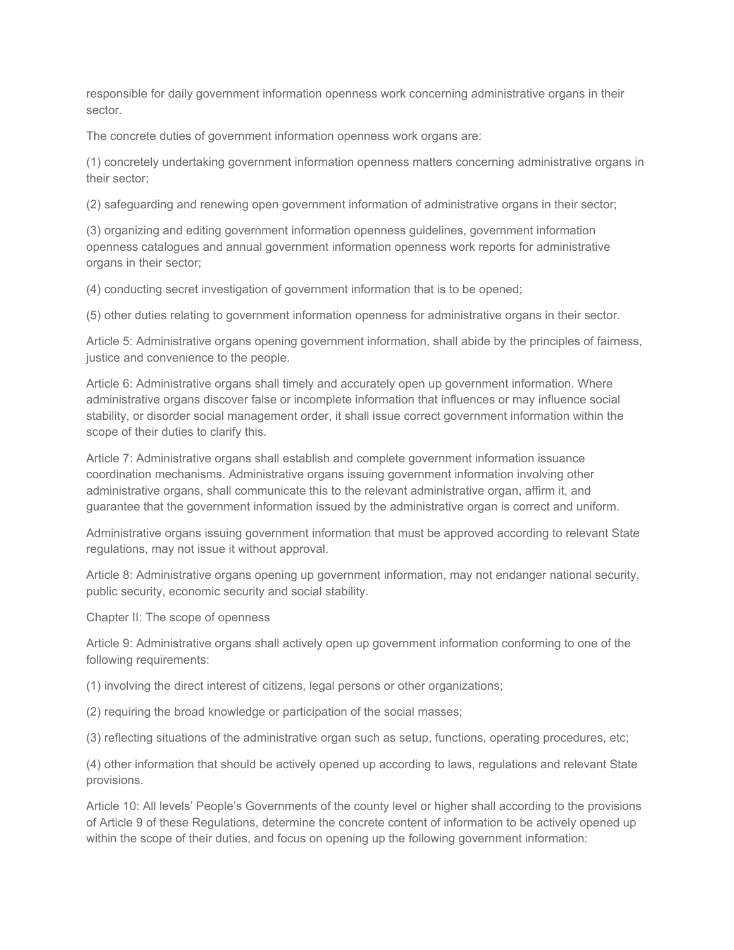responsible for daily government information openness work concerning administrative organs in their sector.

The concrete duties of government information openness work organs are:

(1) concretely undertaking government information openness matters concerning administrative organs in their sector;

(2) safeguarding and renewing open government information of administrative organs in their sector;

(3) organizing and editing government information openness guidelines, government information openness catalogues and annual government information openness work reports for administrative organs in their sector;

(4) conducting secret investigation of government information that is to be opened;

(5) other duties relating to government information openness for administrative organs in their sector.

Article 5: Administrative organs opening government information, shall abide by the principles of fairness, justice and convenience to the people.

Article 6: Administrative organs shall timely and accurately open up government information. Where administrative organs discover false or incomplete information that influences or may influence social stability, or disorder social management order, it shall issue correct government information within the scope of their duties to clarify this.

Article 7: Administrative organs shall establish and complete government information issuance coordination mechanisms. Administrative organs issuing government information involving other administrative organs, shall communicate this to the relevant administrative organ, affirm it, and guarantee that the government information issued by the administrative organ is correct and uniform.

Administrative organs issuing government information that must be approved according to relevant State regulations, may not issue it without approval.

Article 8: Administrative organs opening up government information, may not endanger national security, public security, economic security and social stability.

Chapter II: The scope of openness

Article 9: Administrative organs shall actively open up government information conforming to one of the following requirements:

(1) involving the direct interest of citizens, legal persons or other organizations;

(2) requiring the broad knowledge or participation of the social masses;

(3) reflecting situations of the administrative organ such as setup, functions, operating procedures, etc;

(4) other information that should be actively opened up according to laws, regulations and relevant State provisions.

Article 10: All levels' People's Governments of the county level or higher shall according to the provisions of Article 9 of these Regulations, determine the concrete content of information to be actively opened up within the scope of their duties, and focus on opening up the following government information: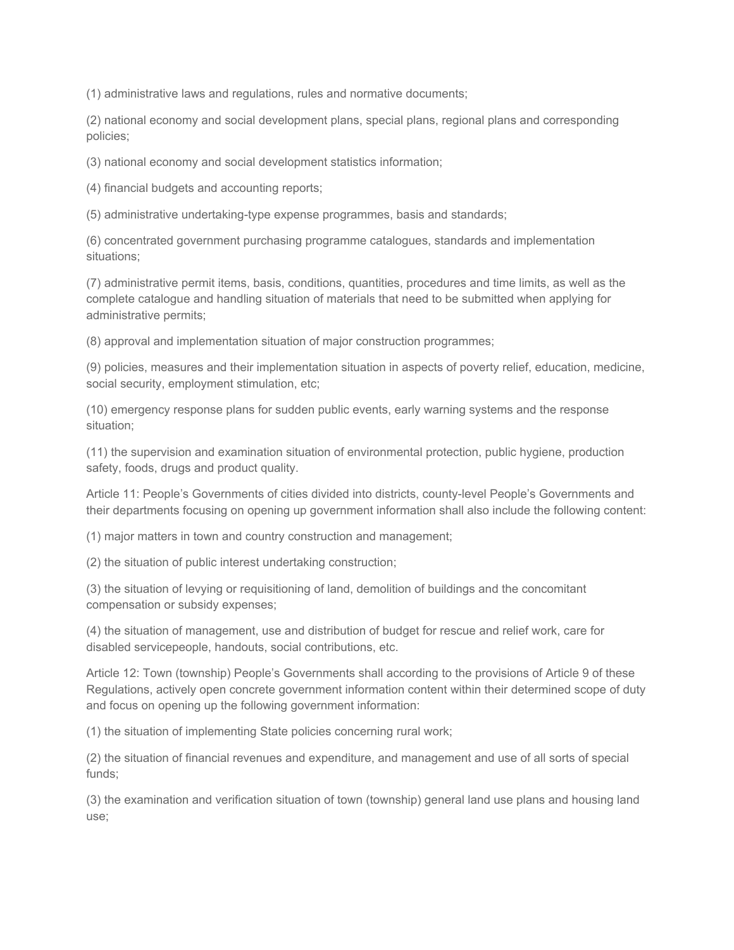(1) administrative laws and regulations, rules and normative documents;

(2) national economy and social development plans, special plans, regional plans and corresponding policies;

(3) national economy and social development statistics information;

(4) financial budgets and accounting reports;

(5) administrative undertaking-type expense programmes, basis and standards;

(6) concentrated government purchasing programme catalogues, standards and implementation situations;

(7) administrative permit items, basis, conditions, quantities, procedures and time limits, as well as the complete catalogue and handling situation of materials that need to be submitted when applying for administrative permits;

(8) approval and implementation situation of major construction programmes;

(9) policies, measures and their implementation situation in aspects of poverty relief, education, medicine, social security, employment stimulation, etc;

(10) emergency response plans for sudden public events, early warning systems and the response situation;

(11) the supervision and examination situation of environmental protection, public hygiene, production safety, foods, drugs and product quality.

Article 11: People's Governments of cities divided into districts, county-level People's Governments and their departments focusing on opening up government information shall also include the following content:

(1) major matters in town and country construction and management;

(2) the situation of public interest undertaking construction;

(3) the situation of levying or requisitioning of land, demolition of buildings and the concomitant compensation or subsidy expenses;

(4) the situation of management, use and distribution of budget for rescue and relief work, care for disabled servicepeople, handouts, social contributions, etc.

Article 12: Town (township) People's Governments shall according to the provisions of Article 9 of these Regulations, actively open concrete government information content within their determined scope of duty and focus on opening up the following government information:

(1) the situation of implementing State policies concerning rural work;

(2) the situation of financial revenues and expenditure, and management and use of all sorts of special funds;

(3) the examination and verification situation of town (township) general land use plans and housing land use;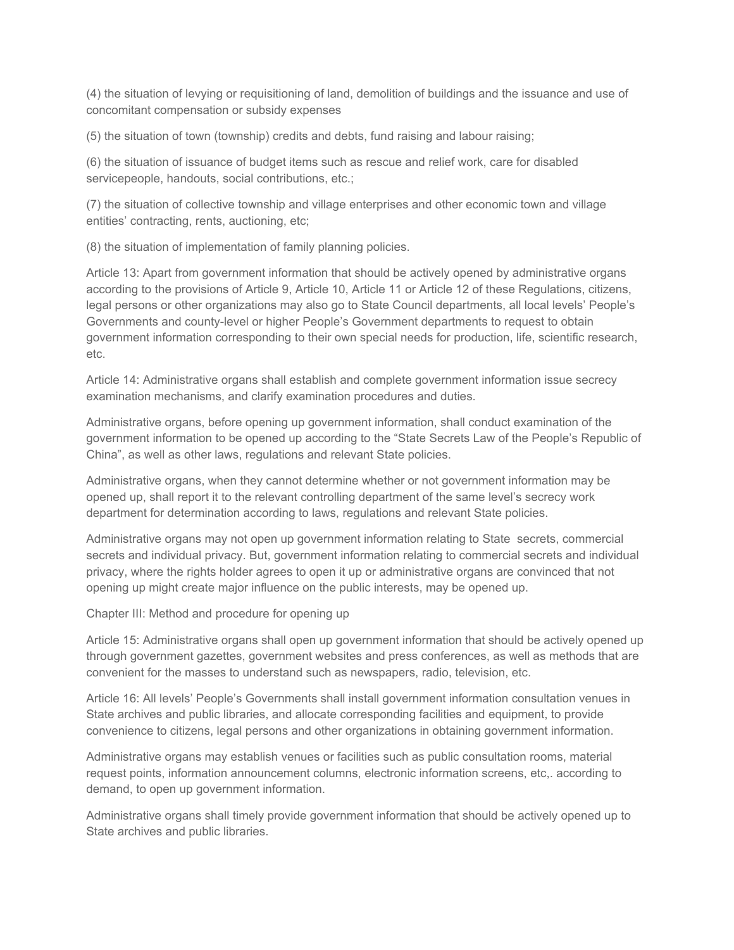(4) the situation of levying or requisitioning of land, demolition of buildings and the issuance and use of concomitant compensation or subsidy expenses

(5) the situation of town (township) credits and debts, fund raising and labour raising;

(6) the situation of issuance of budget items such as rescue and relief work, care for disabled servicepeople, handouts, social contributions, etc.;

(7) the situation of collective township and village enterprises and other economic town and village entities' contracting, rents, auctioning, etc;

(8) the situation of implementation of family planning policies.

Article 13: Apart from government information that should be actively opened by administrative organs according to the provisions of Article 9, Article 10, Article 11 or Article 12 of these Regulations, citizens, legal persons or other organizations may also go to State Council departments, all local levels' People's Governments and county-level or higher People's Government departments to request to obtain government information corresponding to their own special needs for production, life, scientific research, etc.

Article 14: Administrative organs shall establish and complete government information issue secrecy examination mechanisms, and clarify examination procedures and duties.

Administrative organs, before opening up government information, shall conduct examination of the government information to be opened up according to the "State Secrets Law of the People's Republic of China", as well as other laws, regulations and relevant State policies.

Administrative organs, when they cannot determine whether or not government information may be opened up, shall report it to the relevant controlling department of the same level's secrecy work department for determination according to laws, regulations and relevant State policies.

Administrative organs may not open up government information relating to State secrets, commercial secrets and individual privacy. But, government information relating to commercial secrets and individual privacy, where the rights holder agrees to open it up or administrative organs are convinced that not opening up might create major influence on the public interests, may be opened up.

Chapter III: Method and procedure for opening up

Article 15: Administrative organs shall open up government information that should be actively opened up through government gazettes, government websites and press conferences, as well as methods that are convenient for the masses to understand such as newspapers, radio, television, etc.

Article 16: All levels' People's Governments shall install government information consultation venues in State archives and public libraries, and allocate corresponding facilities and equipment, to provide convenience to citizens, legal persons and other organizations in obtaining government information.

Administrative organs may establish venues or facilities such as public consultation rooms, material request points, information announcement columns, electronic information screens, etc,. according to demand, to open up government information.

Administrative organs shall timely provide government information that should be actively opened up to State archives and public libraries.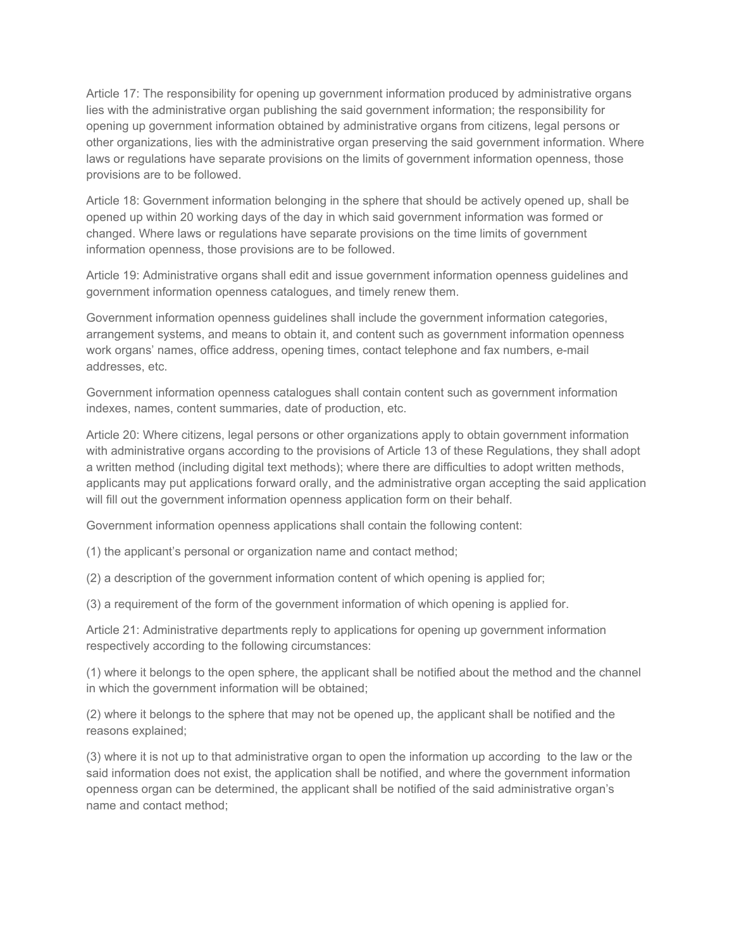Article 17: The responsibility for opening up government information produced by administrative organs lies with the administrative organ publishing the said government information; the responsibility for opening up government information obtained by administrative organs from citizens, legal persons or other organizations, lies with the administrative organ preserving the said government information. Where laws or regulations have separate provisions on the limits of government information openness, those provisions are to be followed.

Article 18: Government information belonging in the sphere that should be actively opened up, shall be opened up within 20 working days of the day in which said government information was formed or changed. Where laws or regulations have separate provisions on the time limits of government information openness, those provisions are to be followed.

Article 19: Administrative organs shall edit and issue government information openness guidelines and government information openness catalogues, and timely renew them.

Government information openness guidelines shall include the government information categories, arrangement systems, and means to obtain it, and content such as government information openness work organs' names, office address, opening times, contact telephone and fax numbers, e-mail addresses, etc.

Government information openness catalogues shall contain content such as government information indexes, names, content summaries, date of production, etc.

Article 20: Where citizens, legal persons or other organizations apply to obtain government information with administrative organs according to the provisions of Article 13 of these Regulations, they shall adopt a written method (including digital text methods); where there are difficulties to adopt written methods, applicants may put applications forward orally, and the administrative organ accepting the said application will fill out the government information openness application form on their behalf.

Government information openness applications shall contain the following content:

(1) the applicant's personal or organization name and contact method;

(2) a description of the government information content of which opening is applied for;

(3) a requirement of the form of the government information of which opening is applied for.

Article 21: Administrative departments reply to applications for opening up government information respectively according to the following circumstances:

(1) where it belongs to the open sphere, the applicant shall be notified about the method and the channel in which the government information will be obtained;

(2) where it belongs to the sphere that may not be opened up, the applicant shall be notified and the reasons explained;

(3) where it is not up to that administrative organ to open the information up according to the law or the said information does not exist, the application shall be notified, and where the government information openness organ can be determined, the applicant shall be notified of the said administrative organ's name and contact method;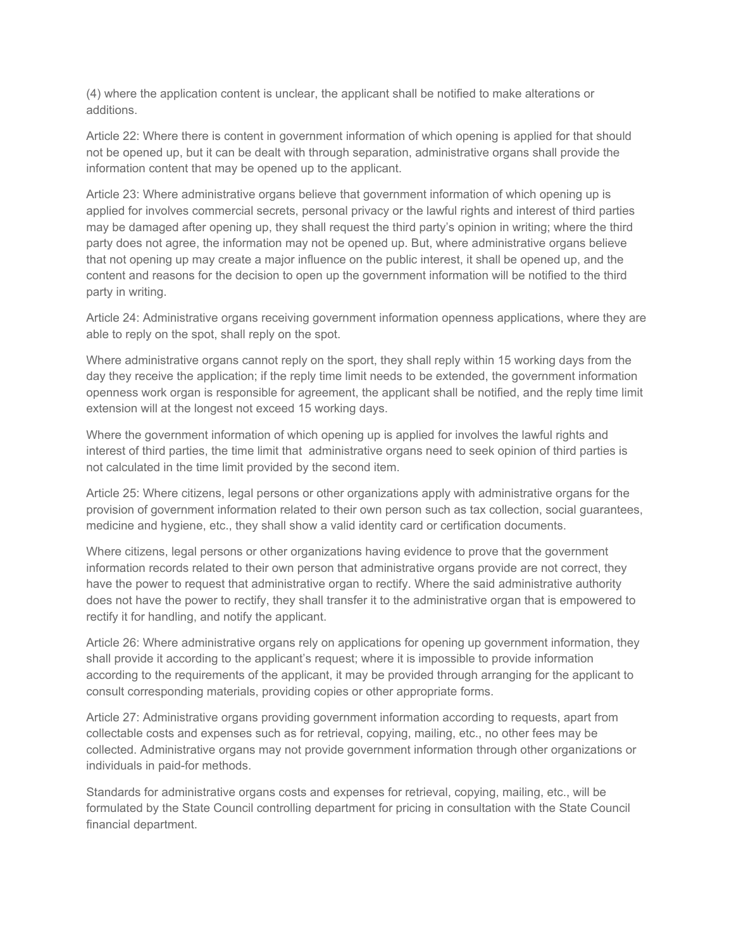(4) where the application content is unclear, the applicant shall be notified to make alterations or additions.

Article 22: Where there is content in government information of which opening is applied for that should not be opened up, but it can be dealt with through separation, administrative organs shall provide the information content that may be opened up to the applicant.

Article 23: Where administrative organs believe that government information of which opening up is applied for involves commercial secrets, personal privacy or the lawful rights and interest of third parties may be damaged after opening up, they shall request the third party's opinion in writing; where the third party does not agree, the information may not be opened up. But, where administrative organs believe that not opening up may create a major influence on the public interest, it shall be opened up, and the content and reasons for the decision to open up the government information will be notified to the third party in writing.

Article 24: Administrative organs receiving government information openness applications, where they are able to reply on the spot, shall reply on the spot.

Where administrative organs cannot reply on the sport, they shall reply within 15 working days from the day they receive the application; if the reply time limit needs to be extended, the government information openness work organ is responsible for agreement, the applicant shall be notified, and the reply time limit extension will at the longest not exceed 15 working days.

Where the government information of which opening up is applied for involves the lawful rights and interest of third parties, the time limit that administrative organs need to seek opinion of third parties is not calculated in the time limit provided by the second item.

Article 25: Where citizens, legal persons or other organizations apply with administrative organs for the provision of government information related to their own person such as tax collection, social guarantees, medicine and hygiene, etc., they shall show a valid identity card or certification documents.

Where citizens, legal persons or other organizations having evidence to prove that the government information records related to their own person that administrative organs provide are not correct, they have the power to request that administrative organ to rectify. Where the said administrative authority does not have the power to rectify, they shall transfer it to the administrative organ that is empowered to rectify it for handling, and notify the applicant.

Article 26: Where administrative organs rely on applications for opening up government information, they shall provide it according to the applicant's request; where it is impossible to provide information according to the requirements of the applicant, it may be provided through arranging for the applicant to consult corresponding materials, providing copies or other appropriate forms.

Article 27: Administrative organs providing government information according to requests, apart from collectable costs and expenses such as for retrieval, copying, mailing, etc., no other fees may be collected. Administrative organs may not provide government information through other organizations or individuals in paid-for methods.

Standards for administrative organs costs and expenses for retrieval, copying, mailing, etc., will be formulated by the State Council controlling department for pricing in consultation with the State Council financial department.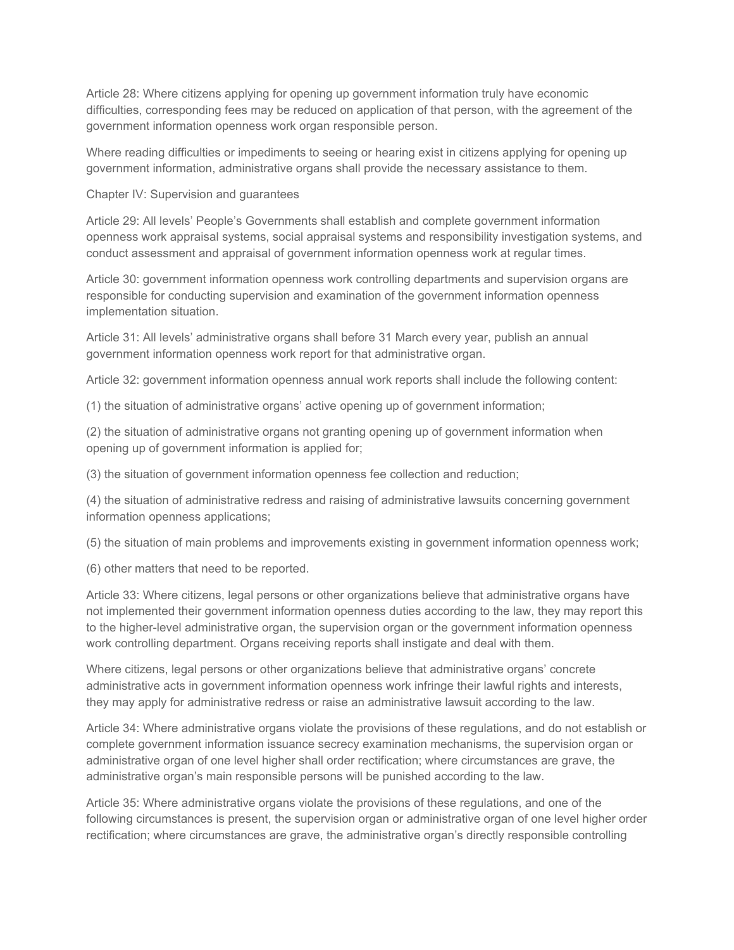Article 28: Where citizens applying for opening up government information truly have economic difficulties, corresponding fees may be reduced on application of that person, with the agreement of the government information openness work organ responsible person.

Where reading difficulties or impediments to seeing or hearing exist in citizens applying for opening up government information, administrative organs shall provide the necessary assistance to them.

Chapter IV: Supervision and guarantees

Article 29: All levels' People's Governments shall establish and complete government information openness work appraisal systems, social appraisal systems and responsibility investigation systems, and conduct assessment and appraisal of government information openness work at regular times.

Article 30: government information openness work controlling departments and supervision organs are responsible for conducting supervision and examination of the government information openness implementation situation.

Article 31: All levels' administrative organs shall before 31 March every year, publish an annual government information openness work report for that administrative organ.

Article 32: government information openness annual work reports shall include the following content:

(1) the situation of administrative organs' active opening up of government information;

(2) the situation of administrative organs not granting opening up of government information when opening up of government information is applied for;

(3) the situation of government information openness fee collection and reduction;

(4) the situation of administrative redress and raising of administrative lawsuits concerning government information openness applications;

(5) the situation of main problems and improvements existing in government information openness work;

(6) other matters that need to be reported.

Article 33: Where citizens, legal persons or other organizations believe that administrative organs have not implemented their government information openness duties according to the law, they may report this to the higher-level administrative organ, the supervision organ or the government information openness work controlling department. Organs receiving reports shall instigate and deal with them.

Where citizens, legal persons or other organizations believe that administrative organs' concrete administrative acts in government information openness work infringe their lawful rights and interests, they may apply for administrative redress or raise an administrative lawsuit according to the law.

Article 34: Where administrative organs violate the provisions of these regulations, and do not establish or complete government information issuance secrecy examination mechanisms, the supervision organ or administrative organ of one level higher shall order rectification; where circumstances are grave, the administrative organ's main responsible persons will be punished according to the law.

Article 35: Where administrative organs violate the provisions of these regulations, and one of the following circumstances is present, the supervision organ or administrative organ of one level higher order rectification; where circumstances are grave, the administrative organ's directly responsible controlling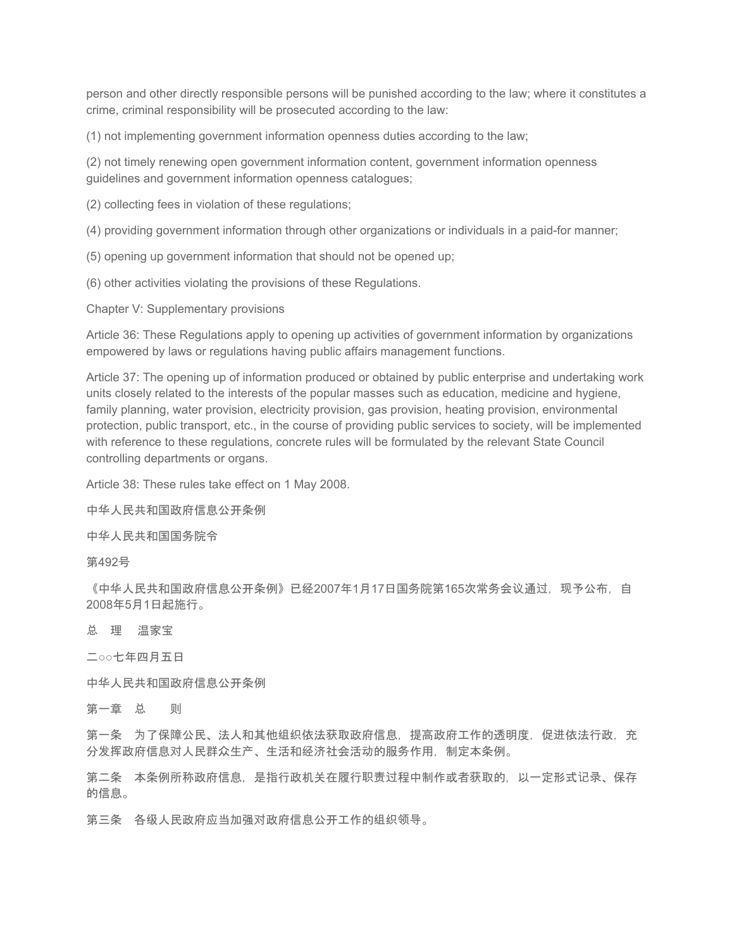person and other directly responsible persons will be punished according to the law; where it constitutes a crime, criminal responsibility will be prosecuted according to the law:

(1) not implementing government information openness duties according to the law;

(2) not timely renewing open government information content, government information openness guidelines and government information openness catalogues;

(2) collecting fees in violation of these regulations;

(4) providing government information through other organizations or individuals in a paid-for manner;

(5) opening up government information that should not be opened up;

(6) other activities violating the provisions of these Regulations.

Chapter V: Supplementary provisions

Article 36: These Regulations apply to opening up activities of government information by organizations empowered by laws or regulations having public affairs management functions.

Article 37: The opening up of information produced or obtained by public enterprise and undertaking work units closely related to the interests of the popular masses such as education, medicine and hygiene, family planning, water provision, electricity provision, gas provision, heating provision, environmental protection, public transport, etc., in the course of providing public services to society, will be implemented with reference to these regulations, concrete rules will be formulated by the relevant State Council controlling departments or organs.

Article 38: These rules take effect on 1 May 2008.

中华人民共和国政府信息公开条例

中华人民共和国国务院令

第492号

《中华人民共和国政府信息公开条例》已经2007年1月17日国务院第165次常务会议通过,现予公布,自 2008年5月1日起施行。

总 理 温家宝

二○○七年四月五日

中华人民共和国政府信息公开条例

第一章 总 则

第一条 为了保障公民、法人和其他组织依法获取政府信息,提高政府工作的透明度,促进依法行政,充 分发挥政府信息对人民群众生产、生活和经济社会活动的服务作用,制定本条例。

第二条 本条例所称政府信息,是指行政机关在履行职责过程中制作或者获取的,以一定形式记录、保存 的信息。

第三条 各级人民政府应当加强对政府信息公开工作的组织领导。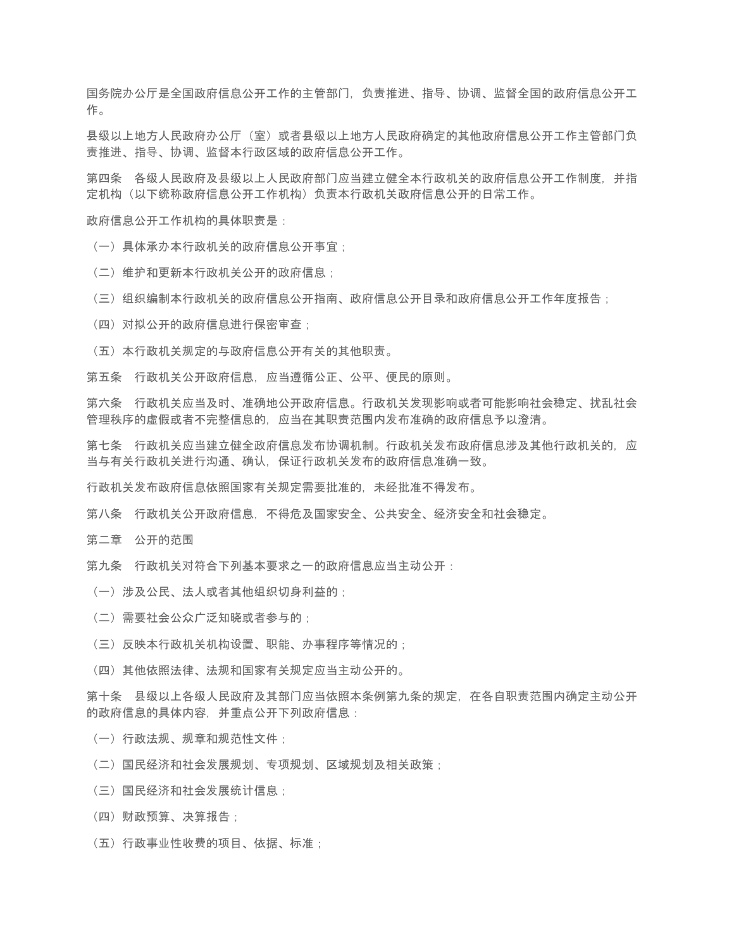国务院办公厅是全国政府信息公开工作的主管部门,负责推进、指导、协调、监督全国的政府信息公开工 作。

县级以上地方人民政府办公厅(室)或者县级以上地方人民政府确定的其他政府信息公开工作主管部门负 责推进、指导、协调、监督本行政区域的政府信息公开工作。

第四条 各级人民政府及县级以上人民政府部门应当建立健全本行政机关的政府信息公开工作制度,并指 定机构(以下统称政府信息公开工作机构)负责本行政机关政府信息公开的日常工作。

政府信息公开工作机构的具体职责是:

- (一)具体承办本行政机关的政府信息公开事宜;
- (二)维护和更新本行政机关公开的政府信息;
- (三)组织编制本行政机关的政府信息公开指南、政府信息公开目录和政府信息公开工作年度报告;
- (四)对拟公开的政府信息进行保密审查;
- (五)本行政机关规定的与政府信息公开有关的其他职责。

第五条 行政机关公开政府信息,应当遵循公正、公平、便民的原则。

第六条 行政机关应当及时、准确地公开政府信息。行政机关发现影响或者可能影响社会稳定、扰乱社会 管理秩序的虚假或者不完整信息的,应当在其职责范围内发布准确的政府信息予以澄清。

第七条 行政机关应当建立健全政府信息发布协调机制。行政机关发布政府信息涉及其他行政机关的,应 当与有关行政机关进行沟通、确认,保证行政机关发布的政府信息准确一致。

行政机关发布政府信息依照国家有关规定需要批准的,未经批准不得发布。

第八条 行政机关公开政府信息,不得危及国家安全、公共安全、经济安全和社会稳定。

第二章 公开的范围

第九条 行政机关对符合下列基本要求之一的政府信息应当主动公开:

- (一)涉及公民、法人或者其他组织切身利益的;
- (二)需要社会公众广泛知晓或者参与的;
- (三)反映本行政机关机构设置、职能、办事程序等情况的;
- (四)其他依照法律、法规和国家有关规定应当主动公开的。

第十条 县级以上各级人民政府及其部门应当依照本条例第九条的规定,在各自职责范围内确定主动公开 的政府信息的具体内容,并重点公开下列政府信息:

- (一) 行政法规、规章和规范性文件;
- (二)国民经济和社会发展规划、专项规划、区域规划及相关政策;
- (三)国民经济和社会发展统计信息;
- (四)财政预算、决算报告;
- (五)行政事业性收费的项目、依据、标准;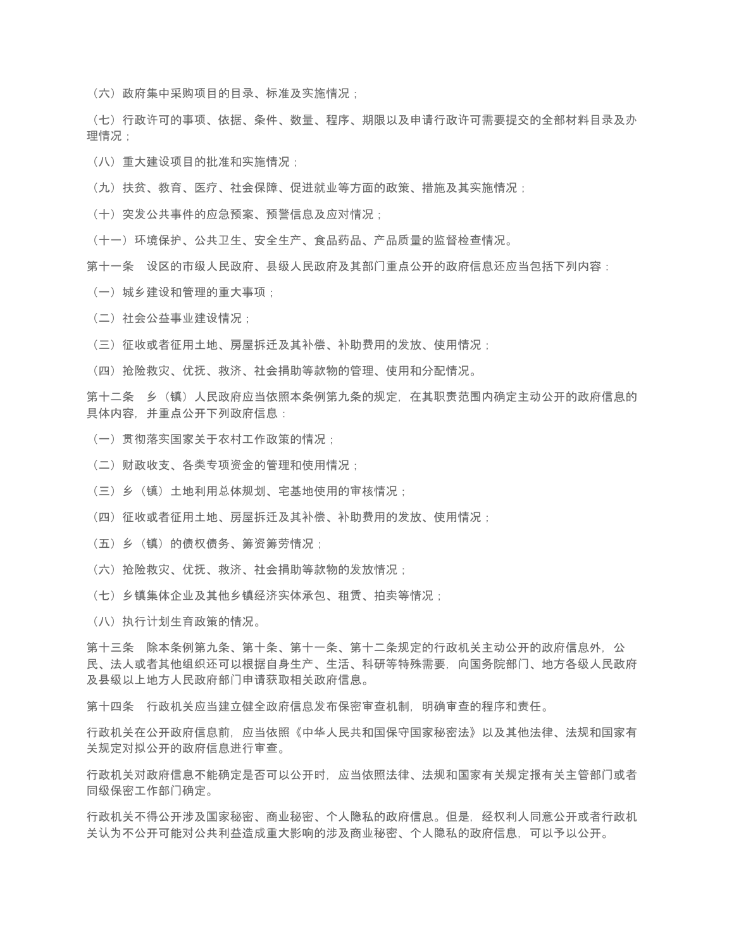(六)政府集中采购项目的目录、标准及实施情况;

(七)行政许可的事项、依据、条件、数量、程序、期限以及申请行政许可需要提交的全部材料目录及办 理情况 :

- (八)重大建设项目的批准和实施情况;
- (九)扶贫、教育、医疗、社会保障、促进就业等方面的政策、措施及其实施情况;
- (十)突发公共事件的应急预案、预警信息及应对情况;
- (十一)环境保护、公共卫生、安全生产、食品药品、产品质量的监督检查情况。
- 第十一条 设区的市级人民政府、县级人民政府及其部门重点公开的政府信息还应当包括下列内容:
	- (一) 城乡建设和管理的重大事项;
	- (二)社会公益事业建设情况;
	- (三)征收或者征用土地、房屋拆迁及其补偿、补助费用的发放、使用情况;
	- (四)抢险救灾、优抚、救济、社会捐助等款物的管理、使用和分配情况。

第十二条 乡(镇)人民政府应当依照本条例第九条的规定,在其职责范围内确定主动公开的政府信息的 具体内容,并重点公开下列政府信息:

- (一)贯彻落实国家关于农村工作政策的情况;
- (二)财政收支、各类专项资金的管理和使用情况;
- (三)乡(镇)土地利用总体规划、宅基地使用的审核情况;
- (四)征收或者征用土地、房屋拆迁及其补偿、补助费用的发放、使用情况;
- (五)乡(镇)的债权债务、筹资筹劳情况;
- (六)抢险救灾、优抚、救济、社会捐助等款物的发放情况;
- (七)乡镇集体企业及其他乡镇经济实体承包、租赁、拍卖等情况;
- (八) 执行计划生育政策的情况。

第十三条 除本条例第九条、第十条、第十一条、第十二条规定的行政机关主动公开的政府信息外, 公 民、法人或者其他组织还可以根据自身生产、生活、科研等特殊需要,向国务院部门、地方各级人民政府 及县级以上地方人民政府部门申请获取相关政府信息。

第十四条 行政机关应当建立健全政府信息发布保密审查机制,明确审查的程序和责任。

行政机关在公开政府信息前,应当依照《中华人民共和国保守国家秘密法》以及其他法律、法规和国家有 关规定对拟公开的政府信息进行审查。

行政机关对政府信息不能确定是否可以公开时,应当依照法律、法规和国家有关规定报有关主管部门或者 同级保密工作部门确定。

行政机关不得公开涉及国家秘密、商业秘密、个人隐私的政府信息。但是,经权利人同意公开或者行政机 关认为不公开可能对公共利益造成重大影响的涉及商业秘密、个人隐私的政府信息,可以予以公开。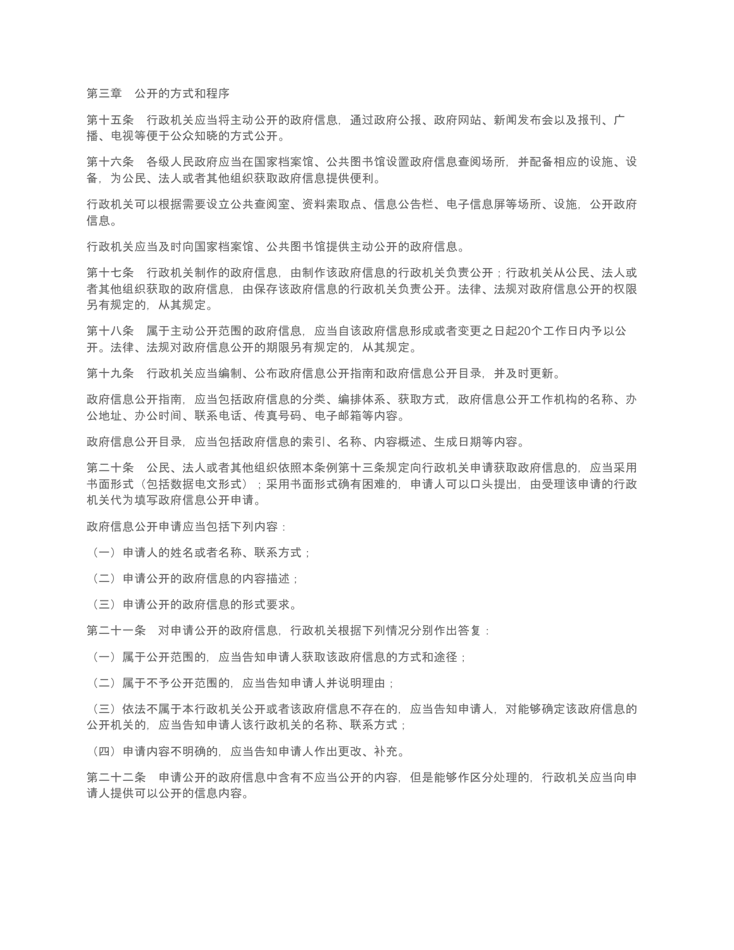第三章 公开的方式和程序

第十五条 行政机关应当将主动公开的政府信息,通过政府公报、政府网站、新闻发布会以及报刊、广 播、电视等便于公众知晓的方式公开。

第十六条 各级人民政府应当在国家档案馆、公共图书馆设置政府信息查阅场所,并配备相应的设施、设 备,为公民、法人或者其他组织获取政府信息提供便利。

行政机关可以根据需要设立公共查阅室、资料索取点、信息公告栏、电子信息屏等场所、设施,公开政府 信息。

行政机关应当及时向国家档案馆、公共图书馆提供主动公开的政府信息。

第十七条 行政机关制作的政府信息,由制作该政府信息的行政机关负责公开;行政机关从公民、法人或 者其他组织获取的政府信息,由保存该政府信息的行政机关负责公开。法律、法规对政府信息公开的权限 另有规定的,从其规定。

第十八条 属于主动公开范围的政府信息,应当自该政府信息形成或者变更之日起20个工作日内予以公 开。法律、法规对政府信息公开的期限另有规定的,从其规定。

第十九条 行政机关应当编制、公布政府信息公开指南和政府信息公开目录,并及时更新。

政府信息公开指南,应当包括政府信息的分类、编排体系、获取方式,政府信息公开工作机构的名称、办 公地址、办公时间、联系电话、传真号码、电子邮箱等内容。

政府信息公开目录,应当包括政府信息的索引、名称、内容概述、生成日期等内容。

第二十条 公民、法人或者其他组织依照本条例第十三条规定向行政机关申请获取政府信息的,应当采用 书面形式(包括数据电文形式);采用书面形式确有困难的,申请人可以口头提出,由受理该申请的行政 机关代为填写政府信息公开申请。

政府信息公开申请应当包括下列内容:

(一)申请人的姓名或者名称、联系方式;

(二)申请公开的政府信息的内容描述;

(三)申请公开的政府信息的形式要求。

第二十一条 对申请公开的政府信息,行政机关根据下列情况分别作出答复:

(一) 属于公开范围的, 应当告知申请人获取该政府信息的方式和途径;

(二)属于不予公开范围的,应当告知申请人并说明理由;

(三)依法不属于本行政机关公开或者该政府信息不存在的,应当告知申请人,对能够确定该政府信息的 公开机关的,应当告知申请人该行政机关的名称、联系方式;

(四)申请内容不明确的,应当告知申请人作出更改、补充。

第二十二条 申请公开的政府信息中含有不应当公开的内容,但是能够作区分处理的,行政机关应当向申 请人提供可以公开的信息内容。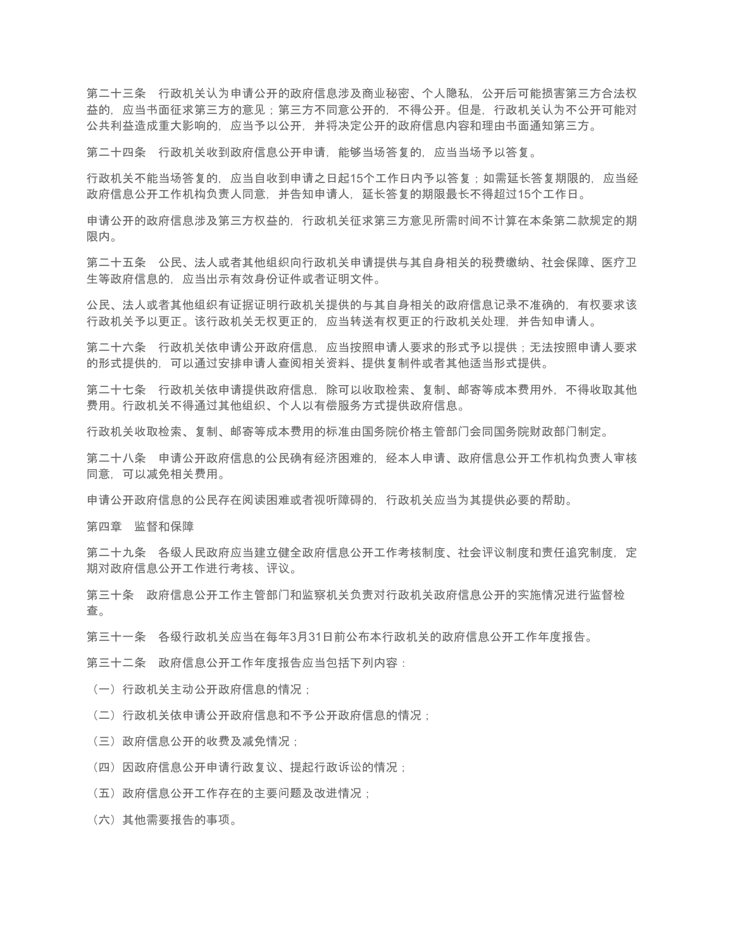第二十三条 行政机关认为申请公开的政府信息涉及商业秘密、个人隐私,公开后可能损害第三方合法权 益的,应当书面征求第三方的意见;第三方不同意公开的,不得公开。但是,行政机关认为不公开可能对 公共利益造成重大影响的,应当予以公开,并将决定公开的政府信息内容和理由书面通知第三方。

第二十四条 行政机关收到政府信息公开申请,能够当场答复的,应当当场予以答复。

行政机关不能当场答复的,应当自收到申请之日起15个工作日内予以答复;如需延长答复期限的,应当经 政府信息公开工作机构负责人同意,并告知申请人,延长答复的期限最长不得超过15个工作日。

申请公开的政府信息涉及第三方权益的,行政机关征求第三方意见所需时间不计算在本条第二款规定的期 限内。

第二十五条 公民、法人或者其他组织向行政机关申请提供与其自身相关的税费缴纳、社会保障、医疗卫 生等政府信息的,应当出示有效身份证件或者证明文件。

公民、法人或者其他组织有证据证明行政机关提供的与其自身相关的政府信息记录不准确的,有权要求该 行政机关予以更正。该行政机关无权更正的,应当转送有权更正的行政机关处理,并告知申请人。

第二十六条 行政机关依申请公开政府信息, 应当按照申请人要求的形式予以提供;无法按照申请人要求 的形式提供的,可以通过安排申请人查阅相关资料、提供复制件或者其他适当形式提供。

第二十七条 行政机关依申请提供政府信息,除可以收取检索、复制、邮寄等成本费用外,不得收取其他 费用。行政机关不得通过其他组织、个人以有偿服务方式提供政府信息。

行政机关收取检索、复制、邮寄等成本费用的标准由国务院价格主管部门会同国务院财政部门制定。

第二十八条 申请公开政府信息的公民确有经济困难的,经本人申请、政府信息公开工作机构负责人审核 同意,可以减免相关费用。

申请公开政府信息的公民存在阅读困难或者视听障碍的,行政机关应当为其提供必要的帮助。

第四章 监督和保障

第二十九条 各级人民政府应当建立健全政府信息公开工作考核制度、社会评议制度和责任追究制度,定 期对政府信息公开工作进行考核、评议。

第三十条 政府信息公开工作主管部门和监察机关负责对行政机关政府信息公开的实施情况进行监督检 查。

第三十一条 各级行政机关应当在每年3月31日前公布本行政机关的政府信息公开工作年度报告。

第三十二条 政府信息公开工作年度报告应当包括下列内容:

(一)行政机关主动公开政府信息的情况;

(二)行政机关依申请公开政府信息和不予公开政府信息的情况;

- (三)政府信息公开的收费及减免情况;
- (四)因政府信息公开申请行政复议、提起行政诉讼的情况;
- (五)政府信息公开工作存在的主要问题及改进情况;
- (六)其他需要报告的事项。